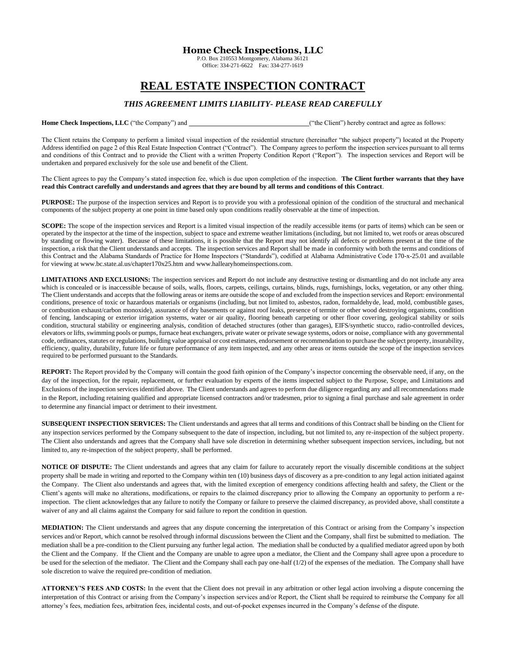## **Home Check Inspections, LLC**

P.O. Box 210553 Montgomery, Alabama 36121 Office: 334-271-6622 Fax: 334-277-1619

## **REAL ESTATE INSPECTION CONTRACT**

## *THIS AGREEMENT LIMITS LIABILITY- PLEASE READ CAREFULLY*

Home Check Inspections, LLC ("the Company") and \_\_\_\_\_\_\_\_\_\_\_\_\_\_\_\_\_\_\_\_\_\_\_\_\_\_\_\_\_\_\_\_\_("the Client") hereby contract and agree as follows:

The Client retains the Company to perform a limited visual inspection of the residential structure (hereinafter "the subject property") located at the Property Address identified on page 2 of this Real Estate Inspection Contract ("Contract"). The Company agrees to perform the inspection services pursuant to all terms and conditions of this Contract and to provide the Client with a written Property Condition Report ("Report"). The inspection services and Report will be undertaken and prepared exclusively for the sole use and benefit of the Client.

The Client agrees to pay the Company's stated inspection fee, which is due upon completion of the inspection. **The Client further warrants that they have read this Contract carefully and understands and agrees that they are bound by all terms and conditions of this Contract**.

**PURPOSE:** The purpose of the inspection services and Report is to provide you with a professional opinion of the condition of the structural and mechanical components of the subject property at one point in time based only upon conditions readily observable at the time of inspection.

**SCOPE:** The scope of the inspection services and Report is a limited visual inspection of the readily accessible items (or parts of items) which can be seen or operated by the inspector at the time of the inspection, subject to space and extreme weather limitations (including, but not limited to, wet roofs or areas obscured by standing or flowing water). Because of these limitations, it is possible that the Report may not identify all defects or problems present at the time of the inspection, a risk that the Client understands and accepts. The inspection services and Report shall be made in conformity with both the terms and conditions of this Contract and the Alabama Standards of Practice for Home Inspectors ("Standards"), codified at Alabama Administrative Code 170-x-25.01 and available for viewing at www.bc.state.al.us/chapter170x25.htm and www.hallearyhomeinspections.com.

**LIMITATIONS AND EXCLUSIONS:** The inspection services and Report do not include any destructive testing or dismantling and do not include any area which is concealed or is inaccessible because of soils, walls, floors, carpets, ceilings, curtains, blinds, rugs, furnishings, locks, vegetation, or any other thing. The Client understands and accepts that the following areas or items are outside the scope of and excluded from the inspection services and Report: environmental conditions, presence of toxic or hazardous materials or organisms (including, but not limited to, asbestos, radon, formaldehyde, lead, mold, combustible gases, or combustion exhaust/carbon monoxide), assurance of dry basements or against roof leaks, presence of termite or other wood destroying organisms, condition of fencing, landscaping or exterior irrigation systems, water or air quality, flooring beneath carpeting or other floor covering, geological stability or soils condition, structural stability or engineering analysis, condition of detached structures (other than garages), EIFS/synthetic stucco, radio-controlled devices, elevators or lifts, swimming pools or pumps, furnace heat exchangers, private water or private sewage systems, odors or noise, compliance with any governmental code, ordinances, statutes or regulations, building value appraisal or cost estimates, endorsement or recommendation to purchase the subject property, insurability, efficiency, quality, durability, future life or future performance of any item inspected, and any other areas or items outside the scope of the inspection services required to be performed pursuant to the Standards.

**REPORT:** The Report provided by the Company will contain the good faith opinion of the Company's inspector concerning the observable need, if any, on the day of the inspection, for the repair, replacement, or further evaluation by experts of the items inspected subject to the Purpose, Scope, and Limitations and Exclusions of the inspection services identified above. The Client understands and agrees to perform due diligence regarding any and all recommendations made in the Report, including retaining qualified and appropriate licensed contractors and/or tradesmen, prior to signing a final purchase and sale agreement in order to determine any financial impact or detriment to their investment.

**SUBSEQUENT INSPECTION SERVICES:** The Client understands and agrees that all terms and conditions of this Contract shall be binding on the Client for any inspection services performed by the Company subsequent to the date of inspection, including, but not limited to, any re-inspection of the subject property. The Client also understands and agrees that the Company shall have sole discretion in determining whether subsequent inspection services, including, but not limited to, any re-inspection of the subject property, shall be performed.

**NOTICE OF DISPUTE:** The Client understands and agrees that any claim for failure to accurately report the visually discernible conditions at the subject property shall be made in writing and reported to the Company within ten (10) business days of discovery as a pre-condition to any legal action initiated against the Company. The Client also understands and agrees that, with the limited exception of emergency conditions affecting health and safety, the Client or the Client's agents will make no alterations, modifications, or repairs to the claimed discrepancy prior to allowing the Company an opportunity to perform a reinspection. The client acknowledges that any failure to notify the Company or failure to preserve the claimed discrepancy, as provided above, shall constitute a waiver of any and all claims against the Company for said failure to report the condition in question.

**MEDIATION:** The Client understands and agrees that any dispute concerning the interpretation of this Contract or arising from the Company's inspection services and/or Report, which cannot be resolved through informal discussions between the Client and the Company, shall first be submitted to mediation. The mediation shall be a pre-condition to the Client pursuing any further legal action. The mediation shall be conducted by a qualified mediator agreed upon by both the Client and the Company. If the Client and the Company are unable to agree upon a mediator, the Client and the Company shall agree upon a procedure to be used for the selection of the mediator. The Client and the Company shall each pay one-half (1/2) of the expenses of the mediation. The Company shall have sole discretion to waive the required pre-condition of mediation.

**ATTORNEY'S FEES AND COSTS:** In the event that the Client does not prevail in any arbitration or other legal action involving a dispute concerning the interpretation of this Contract or arising from the Company's inspection services and/or Report, the Client shall be required to reimburse the Company for all attorney's fees, mediation fees, arbitration fees, incidental costs, and out-of-pocket expenses incurred in the Company's defense of the dispute.